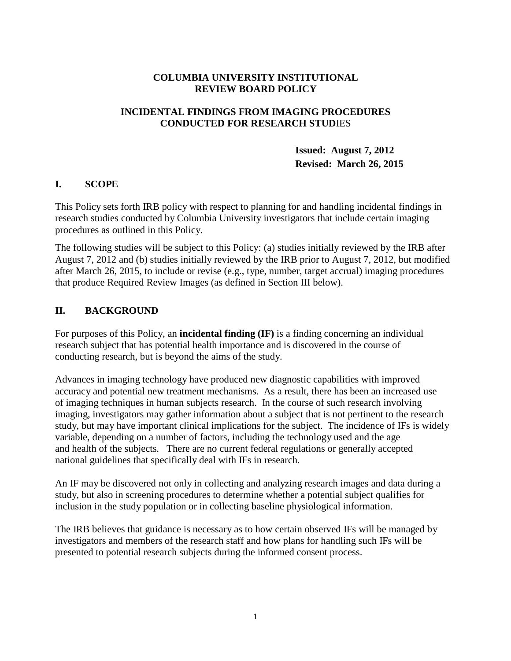#### **COLUMBIA UNIVERSITY INSTITUTIONAL REVIEW BOARD POLICY**

#### **INCIDENTAL FINDINGS FROM IMAGING PROCEDURES CONDUCTED FOR RESEARCH STUD**IES

**Issued: August 7, 2012 Revised: March 26, 2015**

#### **I. SCOPE**

This Policy sets forth IRB policy with respect to planning for and handling incidental findings in research studies conducted by Columbia University investigators that include certain imaging procedures as outlined in this Policy.

The following studies will be subject to this Policy: (a) studies initially reviewed by the IRB after August 7, 2012 and (b) studies initially reviewed by the IRB prior to August 7, 2012, but modified after March 26, 2015, to include or revise (e.g., type, number, target accrual) imaging procedures that produce Required Review Images (as defined in Section III below).

### **II. BACKGROUND**

For purposes of this Policy, an **incidental finding (IF)** is a finding concerning an individual research subject that has potential health importance and is discovered in the course of conducting research, but is beyond the aims of the study.

Advances in imaging technology have produced new diagnostic capabilities with improved accuracy and potential new treatment mechanisms. As a result, there has been an increased use of imaging techniques in human subjects research. In the course of such research involving imaging, investigators may gather information about a subject that is not pertinent to the research study, but may have important clinical implications for the subject. The incidence of IFs is widely variable, depending on a number of factors, including the technology used and the age and health of the subjects. There are no current federal regulations or generally accepted national guidelines that specifically deal with IFs in research.

An IF may be discovered not only in collecting and analyzing research images and data during a study, but also in screening procedures to determine whether a potential subject qualifies for inclusion in the study population or in collecting baseline physiological information.

The IRB believes that guidance is necessary as to how certain observed IFs will be managed by investigators and members of the research staff and how plans for handling such IFs will be presented to potential research subjects during the informed consent process.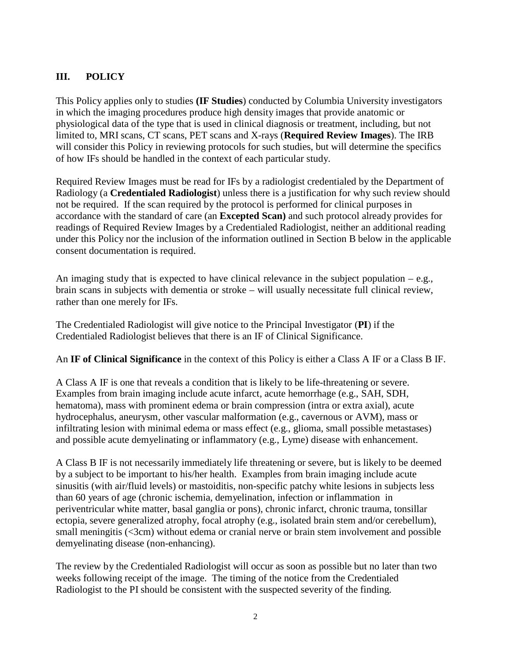## **III. POLICY**

This Policy applies only to studies **(IF Studies**) conducted by Columbia University investigators in which the imaging procedures produce high density images that provide anatomic or physiological data of the type that is used in clinical diagnosis or treatment, including, but not limited to, MRI scans, CT scans, PET scans and X-rays (**Required Review Images**). The IRB will consider this Policy in reviewing protocols for such studies, but will determine the specifics of how IFs should be handled in the context of each particular study.

Required Review Images must be read for IFs by a radiologist credentialed by the Department of Radiology (a **Credentialed Radiologist**) unless there is a justification for why such review should not be required. If the scan required by the protocol is performed for clinical purposes in accordance with the standard of care (an **Excepted Scan)** and such protocol already provides for readings of Required Review Images by a Credentialed Radiologist, neither an additional reading under this Policy nor the inclusion of the information outlined in Section B below in the applicable consent documentation is required.

An imaging study that is expected to have clinical relevance in the subject population  $-e.g.,$ brain scans in subjects with dementia or stroke – will usually necessitate full clinical review, rather than one merely for IFs.

The Credentialed Radiologist will give notice to the Principal Investigator (**PI**) if the Credentialed Radiologist believes that there is an IF of Clinical Significance.

An **IF of Clinical Significance** in the context of this Policy is either a Class A IF or a Class B IF.

A Class A IF is one that reveals a condition that is likely to be life-threatening or severe. Examples from brain imaging include acute infarct, acute hemorrhage (e.g., SAH, SDH, hematoma), mass with prominent edema or brain compression (intra or extra axial), acute hydrocephalus, aneurysm, other vascular malformation (e.g., cavernous or AVM), mass or infiltrating lesion with minimal edema or mass effect (e.g., glioma, small possible metastases) and possible acute demyelinating or inflammatory (e.g., Lyme) disease with enhancement.

A Class B IF is not necessarily immediately life threatening or severe, but is likely to be deemed by a subject to be important to his/her health. Examples from brain imaging include acute sinusitis (with air/fluid levels) or mastoiditis, non-specific patchy white lesions in subjects less than 60 years of age (chronic ischemia, demyelination, infection or inflammation in periventricular white matter, basal ganglia or pons), chronic infarct, chronic trauma, tonsillar ectopia, severe generalized atrophy, focal atrophy (e.g., isolated brain stem and/or cerebellum), small meningitis (<3cm) without edema or cranial nerve or brain stem involvement and possible demyelinating disease (non-enhancing).

The review by the Credentialed Radiologist will occur as soon as possible but no later than two weeks following receipt of the image. The timing of the notice from the Credentialed Radiologist to the PI should be consistent with the suspected severity of the finding.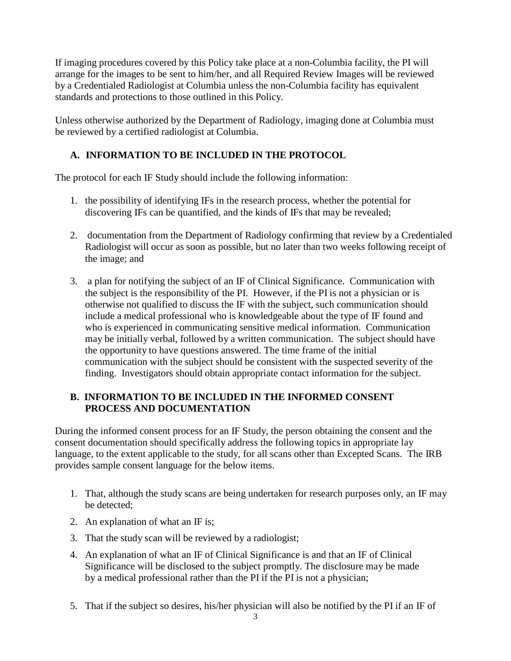If imaging procedures covered by this Policy take place at a non-Columbia facility, the PI will arrange for the images to be sent to him/her, and all Required Review Images will be reviewed by a Credentialed Radiologist at Columbia unless the non-Columbia facility has equivalent standards and protections to those outlined in this Policy.

Unless otherwise authorized by the Department of Radiology, imaging done at Columbia must be reviewed by a certified radiologist at Columbia.

# **A. INFORMATION TO BE INCLUDED IN THE PROTOCOL**

The protocol for each IF Study should include the following information:

- 1. the possibility of identifying IFs in the research process, whether the potential for discovering IFs can be quantified, and the kinds of IFs that may be revealed;
- 2. documentation from the Department of Radiology confirming that review by a Credentialed Radiologist will occur as soon as possible, but no later than two weeks following receipt of the image; and
- 3. a plan for notifying the subject of an IF of Clinical Significance. Communication with the subject is the responsibility of the PI. However, if the PI is not a physician or is otherwise not qualified to discuss the IF with the subject, such communication should include a medical professional who is knowledgeable about the type of IF found and who is experienced in communicating sensitive medical information. Communication may be initially verbal, followed by a written communication. The subject should have the opportunity to have questions answered. The time frame of the initial communication with the subject should be consistent with the suspected severity of the finding. Investigators should obtain appropriate contact information for the subject.

## **B. INFORMATION TO BE INCLUDED IN THE INFORMED CONSENT PROCESS AND DOCUMENTATION**

During the informed consent process for an IF Study, the person obtaining the consent and the consent documentation should specifically address the following topics in appropriate lay language, to the extent applicable to the study, for all scans other than Excepted Scans. The IRB provides sample consent language for the below items.

- 1. That, although the study scans are being undertaken for research purposes only, an IF may be detected;
- 2. An explanation of what an IF is;
- 3. That the study scan will be reviewed by a radiologist;
- 4. An explanation of what an IF of Clinical Significance is and that an IF of Clinical Significance will be disclosed to the subject promptly. The disclosure may be made by a medical professional rather than the PI if the PI is not a physician;
- 5. That if the subject so desires, his/her physician will also be notified by the PI if an IF of